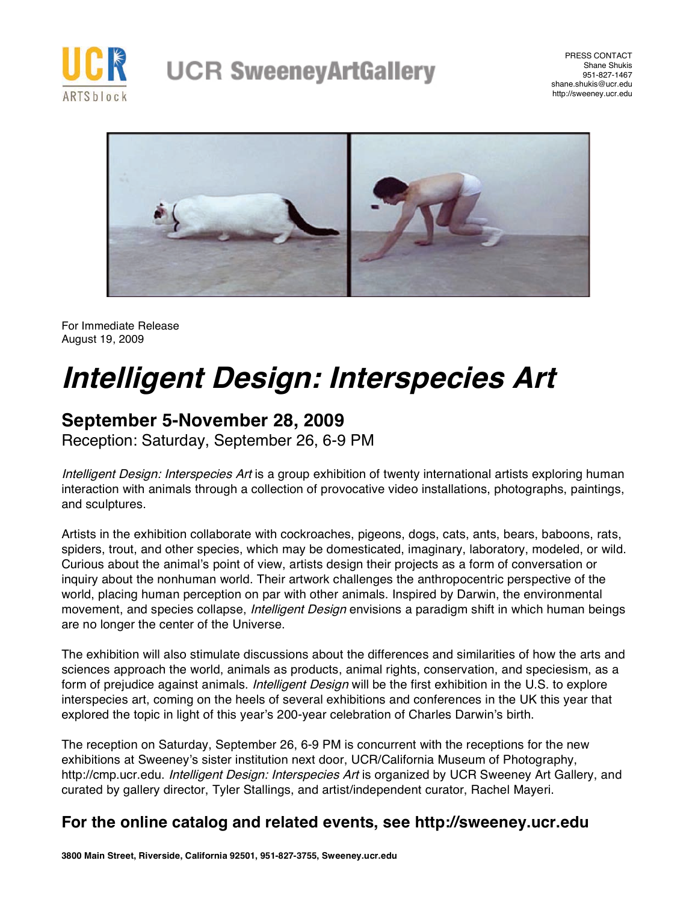

PRESS CONTACT Shane Shukis 951-827-1467 shane.shukis@ucr.edu http://sweeney.ucr.edu



For Immediate Release August 19, 2009

# **Intelligent Design: Interspecies Art**

## **September 5-November 28, 2009**

Reception: Saturday, September 26, 6-9 PM

Intelligent Design: Interspecies Art is a group exhibition of twenty international artists exploring human interaction with animals through a collection of provocative video installations, photographs, paintings, and sculptures.

Artists in the exhibition collaborate with cockroaches, pigeons, dogs, cats, ants, bears, baboons, rats, spiders, trout, and other species, which may be domesticated, imaginary, laboratory, modeled, or wild. Curious about the animal's point of view, artists design their projects as a form of conversation or inquiry about the nonhuman world. Their artwork challenges the anthropocentric perspective of the world, placing human perception on par with other animals. Inspired by Darwin, the environmental movement, and species collapse, *Intelligent Design* envisions a paradigm shift in which human beings are no longer the center of the Universe.

The exhibition will also stimulate discussions about the differences and similarities of how the arts and sciences approach the world, animals as products, animal rights, conservation, and speciesism, as a form of prejudice against animals. *Intelligent Design* will be the first exhibition in the U.S. to explore interspecies art, coming on the heels of several exhibitions and conferences in the UK this year that explored the topic in light of this year's 200-year celebration of Charles Darwin's birth.

The reception on Saturday, September 26, 6-9 PM is concurrent with the receptions for the new exhibitions at Sweeney's sister institution next door, UCR/California Museum of Photography, http://cmp.ucr.edu. Intelligent Design: Interspecies Art is organized by UCR Sweeney Art Gallery, and curated by gallery director, Tyler Stallings, and artist/independent curator, Rachel Mayeri.

### **For the online catalog and related events, see http://sweeney.ucr.edu**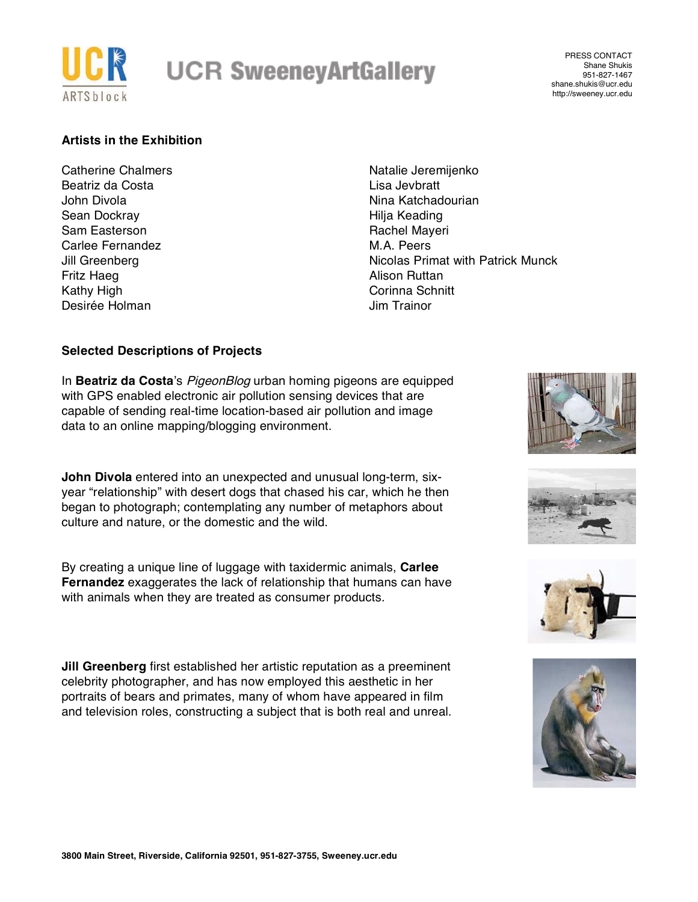

PRESS CONTACT Shane Shukis 951-827-1467 shane.shukis@ucr.edu http://sweeney.ucr.edu

#### **Artists in the Exhibition**

Catherine Chalmers Beatriz da Costa John Divola Sean Dockray Sam Easterson Carlee Fernandez Jill Greenberg Fritz Haeg Kathy High Desirée Holman

Natalie Jeremijenko Lisa Jevbratt Nina Katchadourian Hilja Keading Rachel Mayeri M.A. Peers Nicolas Primat with Patrick Munck Alison Ruttan Corinna Schnitt Jim Trainor

#### **Selected Descriptions of Projects**

In **Beatriz da Costa**'s PigeonBlog urban homing pigeons are equipped with GPS enabled electronic air pollution sensing devices that are capable of sending real-time location-based air pollution and image data to an online mapping/blogging environment.

**John Divola** entered into an unexpected and unusual long-term, sixyear "relationship" with desert dogs that chased his car, which he then began to photograph; contemplating any number of metaphors about culture and nature, or the domestic and the wild.

By creating a unique line of luggage with taxidermic animals, **Carlee Fernandez** exaggerates the lack of relationship that humans can have with animals when they are treated as consumer products.

**Jill Greenberg** first established her artistic reputation as a preeminent celebrity photographer, and has now employed this aesthetic in her portraits of bears and primates, many of whom have appeared in film and television roles, constructing a subject that is both real and unreal.







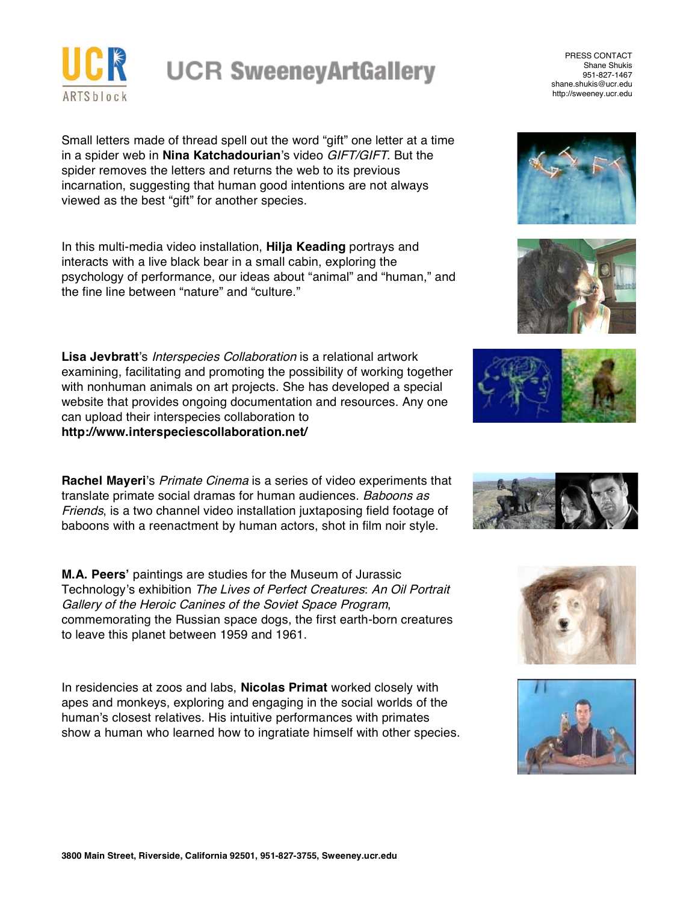

Small letters made of thread spell out the word "gift" one letter at a time in a spider web in **Nina Katchadourian**'s video GIFT/GIFT. But the spider removes the letters and returns the web to its previous incarnation, suggesting that human good intentions are not always viewed as the best "gift" for another species.

In this multi-media video installation, **Hilja Keading** portrays and interacts with a live black bear in a small cabin, exploring the psychology of performance, our ideas about "animal" and "human," and the fine line between "nature" and "culture."

**Lisa Jevbratt**'s Interspecies Collaboration is a relational artwork examining, facilitating and promoting the possibility of working together with nonhuman animals on art projects. She has developed a special website that provides ongoing documentation and resources. Any one can upload their interspecies collaboration to **http://www.interspeciescollaboration.net/**

**Rachel Mayeri**'s Primate Cinema is a series of video experiments that translate primate social dramas for human audiences. Baboons as Friends, is a two channel video installation juxtaposing field footage of baboons with a reenactment by human actors, shot in film noir style.

**M.A. Peers'** paintings are studies for the Museum of Jurassic Technology's exhibition The Lives of Perfect Creatures: An Oil Portrait Gallery of the Heroic Canines of the Soviet Space Program, commemorating the Russian space dogs, the first earth-born creatures to leave this planet between 1959 and 1961.

In residencies at zoos and labs, **Nicolas Primat** worked closely with apes and monkeys, exploring and engaging in the social worlds of the human's closest relatives. His intuitive performances with primates show a human who learned how to ingratiate himself with other species.

PRESS CONTACT Shane Shukis 951-827-1467 shane.shukis@ucr.edu http://sweeney.ucr.edu











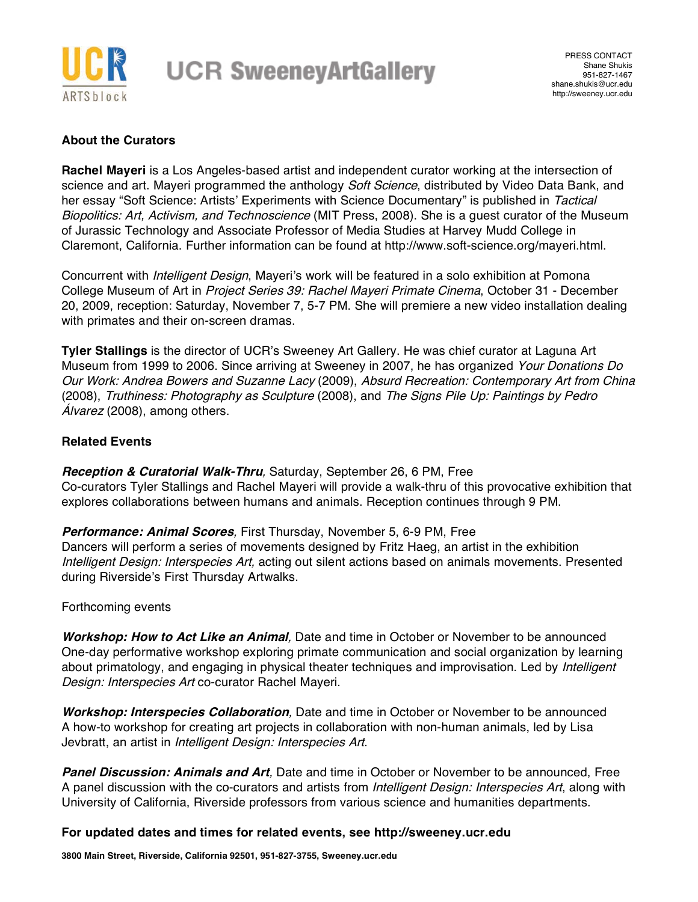

#### **About the Curators**

**Rachel Mayeri** is a Los Angeles-based artist and independent curator working at the intersection of science and art. Mayeri programmed the anthology Soft Science, distributed by Video Data Bank, and her essay "Soft Science: Artists' Experiments with Science Documentary" is published in Tactical Biopolitics: Art, Activism, and Technoscience (MIT Press, 2008). She is a quest curator of the Museum of Jurassic Technology and Associate Professor of Media Studies at Harvey Mudd College in Claremont, California. Further information can be found at http://www.soft-science.org/mayeri.html.

Concurrent with Intelligent Design, Mayeri's work will be featured in a solo exhibition at Pomona College Museum of Art in Project Series 39: Rachel Mayeri Primate Cinema, October 31 - December 20, 2009, reception: Saturday, November 7, 5-7 PM. She will premiere a new video installation dealing with primates and their on-screen dramas.

**Tyler Stallings** is the director of UCR's Sweeney Art Gallery. He was chief curator at Laguna Art Museum from 1999 to 2006. Since arriving at Sweeney in 2007, he has organized Your Donations Do Our Work: Andrea Bowers and Suzanne Lacy (2009), Absurd Recreation: Contemporary Art from China (2008), Truthiness: Photography as Sculpture (2008), and The Signs Pile Up: Paintings by Pedro Álvarez (2008), among others.

#### **Related Events**

**Reception & Curatorial Walk-Thru**, Saturday, September 26, 6 PM, Free Co-curators Tyler Stallings and Rachel Mayeri will provide a walk-thru of this provocative exhibition that explores collaborations between humans and animals. Reception continues through 9 PM.

**Performance: Animal Scores**, First Thursday, November 5, 6-9 PM, Free Dancers will perform a series of movements designed by Fritz Haeg, an artist in the exhibition Intelligent Design: Interspecies Art, acting out silent actions based on animals movements. Presented during Riverside's First Thursday Artwalks.

#### Forthcoming events

**Workshop: How to Act Like an Animal**, Date and time in October or November to be announced One-day performative workshop exploring primate communication and social organization by learning about primatology, and engaging in physical theater techniques and improvisation. Led by *Intelligent* Design: Interspecies Art co-curator Rachel Mayeri.

**Workshop: Interspecies Collaboration**, Date and time in October or November to be announced A how-to workshop for creating art projects in collaboration with non-human animals, led by Lisa Jevbratt, an artist in Intelligent Design: Interspecies Art.

**Panel Discussion: Animals and Art**, Date and time in October or November to be announced, Free A panel discussion with the co-curators and artists from *Intelligent Design: Interspecies Art*, along with University of California, Riverside professors from various science and humanities departments.

#### **For updated dates and times for related events, see http://sweeney.ucr.edu**

**3800 Main Street, Riverside, California 92501, 951-827-3755, Sweeney.ucr.edu**